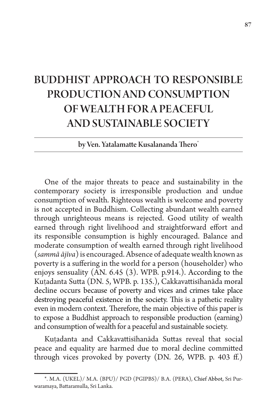# BUDDHIST APPROACH TO RESPONSIBLE PRODUCTION AND CONSUMPTION OF WEALTH FOR A PEACEFUL AND SUSTAINABLE SOCIETY

by Ven. Yatalamatte Kusalananda Thero\*

One of the major threats to peace and sustainability in the contemporary society is irresponsible production and undue consumption of wealth. Righteous wealth is welcome and poverty is not accepted in Buddhism. Collecting abundant wealth earned through unrighteous means is rejected. Good utility of wealth earned through right livelihood and straightforward effort and its responsible consumption is highly encouraged. Balance and moderate consumption of wealth earned through right livelihood (*sammā ājīva*) is encouraged. Absence of adequate wealth known as poverty is a suffering in the world for a person (householder) who enjoys sensuality (AN. 6.45 (3). WPB. p.914.). According to the Kuṭadanta Sutta (DN. 5, WPB. p. 135.), Cakkavattisīhanāda moral decline occurs because of poverty and vices and crimes take place destroying peaceful existence in the society. This is a pathetic reality even in modern context. Therefore, the main objective of this paper is to expose a Buddhist approach to responsible production (earning) and consumption of wealth for a peaceful and sustainable society.

Kutadanta and Cakkavattisīhanāda Suttas reveal that social peace and equality are harmed due to moral decline committed through vices provoked by poverty (DN. 26, WPB. p. 403 ff.)

<sup>\*.</sup> M.A. (UKEL)/ M.A. (BPU)/ PGD (PGIPBS)/ B.A. (PERA), Chief Abbot, Sri Purwaramaya, Battaramulla, Sri Lanka.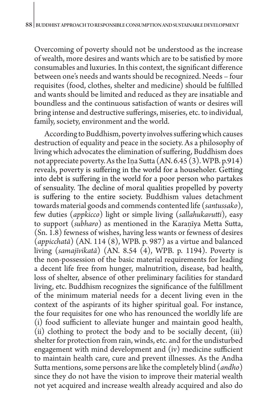Overcoming of poverty should not be understood as the increase of wealth, more desires and wants which are to be satisfied by more consumables and luxuries. In this context, the significant difference between one's needs and wants should be recognized. Needs – four requisites (food, clothes, shelter and medicine) should be fulfilled and wants should be limited and reduced as they are insatiable and boundless and the continuous satisfaction of wants or desires will bring intense and destructive sufferings, miseries, etc. to individual, family, society, environment and the world.

According to Buddhism, poverty involves suffering which causes destruction of equality and peace in the society. As a philosophy of living which advocates the elimination of suffering, Buddhism does not appreciate poverty. As the Ina Sutta  $(AN. 6.45(3). WPB. p.914)$ reveals, poverty is suffering in the world for a householer. Getting into debt is suffering in the world for a poor person who partakes of sensuality. The decline of moral qualities propelled by poverty is suffering to the entire society. Buddhism values detachment towards material goods and commends contented life (*santussako*), few duties (*appkicco*) light or simple living (*sallahukavutti*), easy to support (*subharo*) as mentioned in the Karaṇīya Metta Sutta, (Sn. 1.8) fewness of wishes, having less wants or fewness of desires (*appicchatā*) (AN. 114 (8), WPB. p. 987) as a virtue and balanced living (*samajīvikatā*) (AN. 8.54 (4), WPB. p. 1194). Poverty is the non-possession of the basic material requirements for leading a decent life free from hunger, malnutrition, disease, bad health, loss of shelter, absence of other preliminary facilities for standard living, etc. Buddhism recognizes the significance of the fulfillment of the minimum material needs for a decent living even in the context of the aspirants of its higher spiritual goal. For instance, the four requisites for one who has renounced the worldly life are (i) food sufficient to alleviate hunger and maintain good health, (ii) clothing to protect the body and to be socially decent, (iii) shelter for protection from rain, winds, etc. and for the undisturbed engagement with mind development and (iv) medicine sufficient to maintain health care, cure and prevent illnesses. As the Andha Sutta mentions, some persons are like the completely blind (*andho*) since they do not have the vision to improve their material wealth not yet acquired and increase wealth already acquired and also do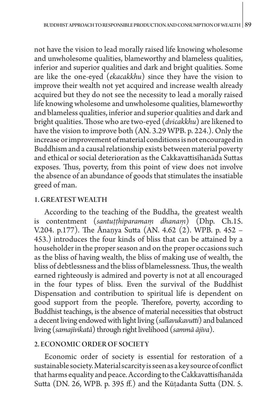not have the vision to lead morally raised life knowing wholesome and unwholesome qualities, blameworthy and blameless qualities, inferior and superior qualities and dark and bright qualities. Some are like the one-eyed (*ekacakkhu*) since they have the vision to improve their wealth not yet acquired and increase wealth already acquired but they do not see the necessity to lead a morally raised life knowing wholesome and unwholesome qualities, blameworthy and blameless qualities, inferior and superior qualities and dark and bright qualities. Those who are two-eyed (*dvicakkhu*) are likened to have the vision to improve both (AN. 3.29 WPB. p. 224.). Only the increase or improvement of material conditions is not encouraged in Buddhism and a causal relationship exists between material poverty and ethical or social deterioration as the Cakkavattisīhanāda Suttas exposes. Thus, poverty, from this point of view does not involve the absence of an abundance of goods that stimulates the insatiable greed of man.

## 1. GREATEST WEALTH

According to the teaching of the Buddha, the greatest wealth is contentment (*santuṭṭhiparamaṃ dhanaṃ*) (Dhp. Ch.15. V.204. p.177). The Ānaṇya Sutta (AN. 4.62 (2). WPB. p. 452 – 453.) introduces the four kinds of bliss that can be attained by a householder in the proper season and on the proper occasions such as the bliss of having wealth, the bliss of making use of wealth, the bliss of debtlessness and the bliss of blamelessness. Thus, the wealth earned righteously is admired and poverty is not at all encouraged in the four types of bliss. Even the survival of the Buddhist Dispensation and contribution to spiritual life is dependent on good support from the people. Therefore, poverty, according to Buddhist teachings, is the absence of material necessities that obstruct a decent living endowed with light living (*sallavukavutti*) and balanced living (*samajīvikatā*) through right livelihood (*sammā ājīva*).

## 2. ECONOMIC ORDER OF SOCIETY

Economic order of society is essential for restoration of a sustainable society. Material scarcity is seen as a key source of conflict that harms equality and peace. According to the Cakkavattis*ī*han*ā*da Sutta (DN. 26, WPB. p. 395 ff.) and the Kūṭadanta Sutta (DN. 5.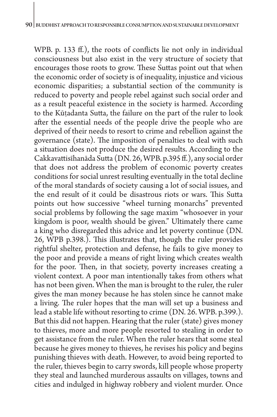WPB. p. 133 ff.), the roots of conflicts lie not only in individual consciousness but also exist in the very structure of society that encourages those roots to grow. These Suttas point out that when the economic order of society is of inequality, injustice and vicious economic disparities; a substantial section of the community is reduced to poverty and people rebel against such social order and as a result peaceful existence in the society is harmed. According to the Kūṭadanta Sutta, the failure on the part of the ruler to look after the essential needs of the people drive the people who are deprived of their needs to resort to crime and rebellion against the governance (state). The imposition of penalties to deal with such a situation does not produce the desired results. According to the Cakkavattisīhanāda Sutta (DN. 26, WPB. p.395 ff.), any social order that does not address the problem of economic poverty creates conditions for social unrest resulting eventually in the total decline of the moral standards of society causing a lot of social issues, and the end result of it could be disastrous riots or wars. This Sutta points out how successive "wheel turning monarchs" prevented social problems by following the sage maxim "whosoever in your kingdom is poor, wealth should be given." Ultimately there came a king who disregarded this advice and let poverty continue (DN. 26, WPB p.398.). This illustrates that, though the ruler provides rightful shelter, protection and defense, he fails to give money to the poor and provide a means of right living which creates wealth for the poor. Then, in that society, poverty increases creating a violent context. A poor man intentionally takes from others what has not been given. When the man is brought to the ruler, the ruler gives the man money because he has stolen since he cannot make a living. The ruler hopes that the man will set up a business and lead a stable life without resorting to crime (DN. 26. WPB. p.399.). But this did not happen. Hearing that the ruler (state) gives money to thieves, more and more people resorted to stealing in order to get assistance from the ruler. When the ruler hears that some steal because he gives money to thieves, he revises his policy and begins punishing thieves with death. However, to avoid being reported to the ruler, thieves begin to carry swords, kill people whose property they steal and launched murderous assaults on villages, towns and cities and indulged in highway robbery and violent murder. Once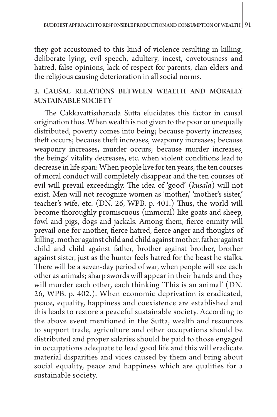they got accustomed to this kind of violence resulting in killing, deliberate lying, evil speech, adultery, incest, covetousness and hatred, false opinions, lack of respect for parents, clan elders and the religious causing deterioration in all social norms.

## 3. CAUSAL RELATIONS BETWEEN WEALTH AND MORALLY SUSTAINABLE SOCIETY

The Cakkavattisīhanāda Sutta elucidates this factor in causal origination thus. When wealth is not given to the poor or unequally distributed, poverty comes into being; because poverty increases, theft occurs; because theft increases, weaponry increases; because weaponry increases, murder occurs; because murder increases, the beings' vitality decreases, etc. when violent conditions lead to decrease in life span: When people live for ten years, the ten courses of moral conduct will completely disappear and the ten courses of evil will prevail exceedingly. The idea of 'good' (*kusala*) will not exist. Men will not recognize women as 'mother,' 'mother's sister,' teacher's wife, etc. (DN. 26, WPB. p. 401.) Thus, the world will become thoroughly promiscuous (immoral) like goats and sheep, fowl and pigs, dogs and jackals. Among them, fierce enmity will prevail one for another, fierce hatred, fierce anger and thoughts of killing, mother against child and child against mother, father against child and child against father, brother against brother, brother against sister, just as the hunter feels hatred for the beast he stalks. There will be a seven-day period of war, when people will see each other as animals; sharp swords will appear in their hands and they will murder each other, each thinking 'This is an animal' (DN. 26, WPB. p. 402.). When economic deprivation is eradicated, peace, equality, happiness and coexistence are established and this leads to restore a peaceful sustainable society. According to the above event mentioned in the Sutta, wealth and resources to support trade, agriculture and other occupations should be distributed and proper salaries should be paid to those engaged in occupations adequate to lead good life and this will eradicate material disparities and vices caused by them and bring about social equality, peace and happiness which are qualities for a sustainable society.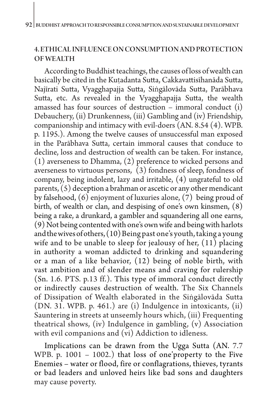## 4. ETHICAL INFLUENCE ON CONSUMPTION AND PROTECTION OF WEALTH

According to Buddhist teachings, the causes of loss of wealth can basically be cited in the Kuṭadanta Sutta, Cakkavattisīhanāda Sutta, Najīrati Sutta, Vyagghapajja Sutta, Siṅgālovāda Sutta, Parābhava Sutta, etc. As revealed in the Vyagghapajja Sutta, the wealth amassed has four sources of destruction – immoral conduct (i) Debauchery, (ii) Drunkenness, (iii) Gambling and (iv) Friendship, companionship and intimacy with evil-doers (AN. 8.54 (4). WPB. p. 1195.). Among the twelve causes of unsuccessful man exposed in the Parābhava Sutta, certain immoral causes that conduce to decline, loss and destruction of wealth can be taken. For instance, (1) averseness to Dhamma, (2) preference to wicked persons and averseness to virtuous persons,  $(3)$  fondness of sleep, fondness of company, being indolent, lazy and irritable, (4) ungrateful to old parents, (5) deception a brahman or ascetic or any other mendicant by falsehood,  $(6)$  enjoyment of luxuries alone,  $(7)$  being proud of birth, of wealth or clan, and despising of one's own kinsmen, (8) being a rake, a drunkard, a gambler and squandering all one earns, (9) Not being contented with one's own wife and being with harlots and the wives of others, (10) Being past one's youth, taking a young wife and to be unable to sleep for jealousy of her,  $(11)$  placing in authority a woman addicted to drinking and squandering or a man of a like behavior, (12) being of noble birth, with vast ambition and of slender means and craving for rulership (Sn. 1.6. PTS. p.13 ff.). This type of immoral conduct directly or indirectly causes destruction of wealth. The Six Channels of Dissipation of Wealth elaborated in the Siṅgālovāda Sutta (DN. 31. WPB. p. 461.) are (i) Indulgence in intoxicants, (ii) Sauntering in streets at unseemly hours which, (iii) Frequenting theatrical shows, (iv) Indulgence in gambling, (v) Association with evil companions and (vi) Addiction to idleness.

Implications can be drawn from the Ugga Sutta (AN. 7.7 WPB. p. 1001 – 1002.) that loss of one'property to the Five Enemies – water or flood, fire or conflagrations, thieves, tyrants or bad leaders and unloved heirs like bad sons and daughters may cause poverty.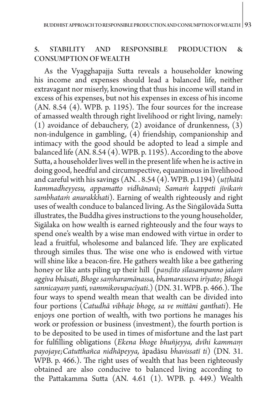### 5. STABILITY AND RESPONSIBLE PRODUCTION & CONSUMPTION OF WEALTH

As the Vyagghapajja Sutta reveals a householder knowing his income and expenses should lead a balanced life, neither extravagant nor miserly, knowing that thus his income will stand in excess of his expenses, but not his expenses in excess of his income (AN. 8.54 (4). WPB. p. 1195). The four sources for the increase of amassed wealth through right livelihood or right living, namely: (1) avoidance of debauchery, (2) avoidance of drunkenness, (3) non-indulgence in gambling, (4) friendship, companionship and intimacy with the good should be adopted to lead a simple and balanced life (AN. 8.54 (4). WPB. p. 1195). According to the above Sutta, a householder lives well in the present life when he is active in doing good, heedful and circumspective, equanimous in livelihood and careful with his savings (AN. . 8.54 (4). WPB. p.1194) (*uṭṭhātā kammadheyyesu, appamatto vidhānavā*; *Samaṁ kappeti jīvikaṁ sambhataṁ anurakkhati*). Earning of wealth righteously and right uses of wealth conduce to balanced living. As the Siṅgālovāda Sutta illustrates, the Buddha gives instructions to the young householder, Sigālaka on how wealth is earned righteously and the four ways to spend one's wealth by a wise man endowed with virtue in order to lead a fruitful, wholesome and balanced life. They are explicated through similes thus. The wise one who is endowed with virtue will shine like a beacon-fire. He gathers wealth like a bee gathering honey or like ants piling up their hill (*paṇḍito sīlasampanno jalaṃ aggīva bhāsati*, *Bhoge saṃharamānassa, bhamarasseva irīyato*; *Bhogā sannicayaṃ yanti, vammikovupacīyati*.) (DN. 31. WPB. p. 466.). The four ways to spend wealth mean that wealth can be divided into four portions (*Catudhā vibhaje bhoge, sa ve mittāni ganthati*). He enjoys one portion of wealth, with two portions he manages his work or profession or business (investment), the fourth portion is to be deposited to be used in times of misfortune and the last part for fulfilling obligations (*Ekena bhoge bhuñjeyya, dvīhi kammaṃ payojaye;Catutthañca nidhāpeyya,* āpadāsu *bhavissatī ti*) (DN. 31. WPB. p. 466.). The right uses of wealth that has been righteously obtained are also conducive to balanced living according to the Pattakamma Sutta (AN. 4.61 (1). WPB. p. 449.) Wealth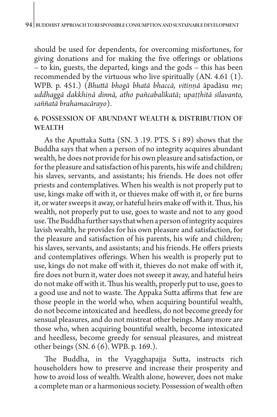should be used for dependents, for overcoming misfortunes, for giving donations and for making the five offerings or oblations – to kin, guests, the departed, kings and the gods – this has been recommended by the virtuous who live spiritually (AN. 4.61 (1). WPB. p. 451.) (*Bhuttā bhogā bhatā bhaccā, vitiṇṇā* āpadāsu *me*; *uddhaggā dakkhiṇā dinnā, atho pañcabalīkatā*; *upaṭṭhitā sīlavanto, saññatā brahamacārayo*).

## 6. POSSESSION OF ABUNDANT WEALTH & DISTRIBUTION OF **WEALTH**

As the Aputtaka Sutta (SN. 3 .19. PTS. S i 89) shows that the Buddha says that when a person of no integrity acquires abundant wealth, he does not provide for his own pleasure and satisfaction, or for the pleasure and satisfaction of his parents, his wife and children; his slaves, servants, and assistants; his friends. He does not offer priests and contemplatives. When his wealth is not properly put to use, kings make off with it, or thieves make off with it, or fire burns it, or water sweeps it away, or hateful heirs make off with it. Thus, his wealth, not properly put to use, goes to waste and not to any good use. The Buddha further says that when a person of integrity acquires lavish wealth, he provides for his own pleasure and satisfaction, for the pleasure and satisfaction of his parents, his wife and children; his slaves, servants, and assistants; and his friends. He offers priests and contemplatives offerings. When his wealth is properly put to use, kings do not make off with it, thieves do not make off with it, fire does not burn it, water does not sweep it away, and hateful heirs do not make off with it. Thus his wealth, properly put to use, goes to a good use and not to waste. The Appaka Sutta affirms thatfew are those people in the world who, when acquiring bountiful wealth, do not become intoxicated and heedless, do not become greedy for sensual pleasures, and do not mistreat other beings. Many more are those who, when acquiring bountiful wealth, become intoxicated and heedless, become greedy for sensual pleasures, and mistreat other beings (SN. 6 (6). WPB. p. 169.).

The Buddha, in the Vyagghapajja Sutta, instructs rich householders how to preserve and increase their prosperity and how to avoid loss of wealth. Wealth alone, however, does not make a complete man or a harmonious society. Possession of wealth often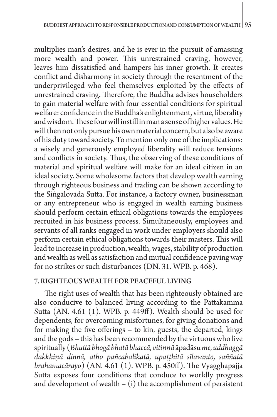multiplies man's desires, and he is ever in the pursuit of amassing more wealth and power. This unrestrained craving, however, leaves him dissatisfied and hampers his inner growth. It creates conflict and disharmony in society through the resentment of the underprivileged who feel themselves exploited by the effects of unrestrained craving. Therefore, the Buddha advises householders to gain material welfare with four essential conditions for spiritual welfare: confidence in the Buddha's enlightenment, virtue, liberality and wisdom. These four will instill in man a sense of higher values. He will then not only pursue his own material concern, but also be aware of his duty toward society. To mention only one of the implications: a wisely and generously employed liberality will reduce tensions and conflicts in society. Thus, the observing of these conditions of material and spiritual welfare will make for an ideal citizen in an ideal society. Some wholesome factors that develop wealth earning through righteous business and trading can be shown according to the Siṅgālovāda Sutta. For instance, a factory owner, businessman or any entrepreneur who is engaged in wealth earning business should perform certain ethical obligations towards the employees recruited in his business process. Simultaneously, employees and servants of all ranks engaged in work under employers should also perform certain ethical obligations towards their masters. This will lead to increase in production, wealth, wages, stability of production and wealth as well as satisfaction and mutual confidence paving way for no strikes or such disturbances (DN. 31. WPB. p. 468).

#### 7. RIGHTEOUS WEALTH FOR PEACEFUL LIVING

The right uses of wealth that has been righteously obtained are also conducive to balanced living according to the Pattakamma Sutta (AN. 4.61 (1). WPB. p. 449ff). Wealth should be used for dependents, for overcoming misfortunes, for giving donations and for making the five offerings – to kin, guests, the departed, kings and the gods – this has been recommended by the virtuous who live spiritually (*Bhuttā bhogā bhatā bhaccā, vitiṇṇā* āpadāsu *me, uddhaggā dakkhiṇā dinnā, atho pañcabalīkatā, upaṭṭhitā sīlavanto, saññatā brahamacārayo*) (AN. 4.61 (1). WPB. p. 450ff). The Vyagghapajja Sutta exposes four conditions that conduce to worldly progress and development of wealth  $-$  (i) the accomplishment of persistent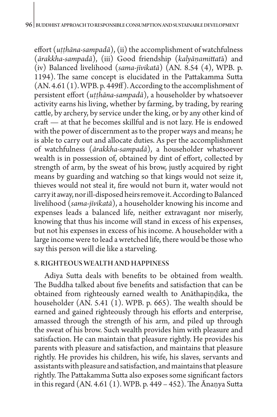#### 96 BUDDHIST APPROACH TO RESPONSIBLE CONSUMPTION AND SUSTAINABLE DEVELOPMENT

effort (*uṭṭhāna-sampadā*), (ii) the accomplishment of watchfulness (*ārakkha-sampadā*), (iii) Good friendship (*kalyāṇamittat*ā) and (iv) Balanced livelihood (*sama-jīvikatā*) (AN. 8.54 (4), WPB. p. 1194). The same concept is elucidated in the Pattakamma Sutta (AN. 4.61 (1). WPB. p. 449ff). According to the accomplishment of persistent effort (*uṭṭhāna-sampadā*), a householder by whatsoever activity earns his living, whether by farming, by trading, by rearing cattle, by archery, by service under the king, or by any other kind of craft — at that he becomes skillful and is not lazy. He is endowed with the power of discernment as to the proper ways and means; he is able to carry out and allocate duties. As per the accomplishment of watchfulness (*ārakkha-sampadā*), a householder whatsoever wealth is in possession of, obtained by dint of effort, collected by strength of arm, by the sweat of his brow, justly acquired by right means by guarding and watching so that kings would not seize it, thieves would not steal it, fire would not burn it, water would not carry it away, nor ill-disposed heirs remove it. According to Balanced livelihood (*sama-jīvikatā*), a householder knowing his income and expenses leads a balanced life, neither extravagant nor miserly, knowing that thus his income will stand in excess of his expenses, but not his expenses in excess of his income. A householder with a large income were to lead a wretched life, there would be those who say this person will die like a starveling.

#### 8. RIGHTEOUS WEALTH AND HAPPINESS

Adiya Sutta deals with benefits to be obtained from wealth. The Buddha talked about five benefits and satisfaction that can be obtained from righteously earned wealth to Anāthapiṇḍika, the householder (AN. 5.41 (1). WPB. p. 665). The wealth should be earned and gained righteously through his efforts and enterprise, amassed through the strength of his arm, and piled up through the sweat of his brow. Such wealth provides him with pleasure and satisfaction. He can maintain that pleasure rightly. He provides his parents with pleasure and satisfaction, and maintains that pleasure rightly. He provides his children, his wife, his slaves, servants and assistants with pleasure and satisfaction, and maintains that pleasure rightly. The Pattakamma Sutta also exposes some significant factors in this regard (AN. 4.61 (1). WPB. p. 449 – 452). The Ānaṇya Sutta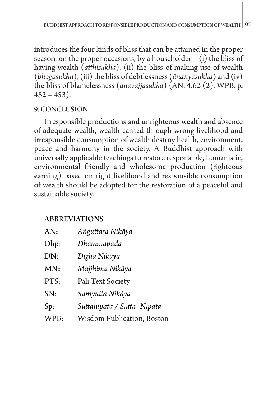introduces the four kinds of bliss that can be attained in the proper season, on the proper occasions, by a householder  $-$  (i) the bliss of having wealth (*atthisukha*), (ii) the bliss of making use of wealth (*bhogasukha*), (iii) the bliss of debtlessness **(***ānaṇyasukha*) and (iv) the bliss of blamelessness (*anavajjasukha*) (AN. 4.62 (2). WPB. p.  $452 - 453$ ).

## 9. CONCLUSION

Irresponsible productions and unrighteous wealth and absence of adequate wealth, wealth earned through wrong livelihood and irresponsible consumption of wealth destroy health, environment, peace and harmony in the society. A Buddhist approach with universally applicable teachings to restore responsible, humanistic, environmental friendly and wholesome production (righteous earning) based on right livelihood and responsible consumption of wealth should be adopted for the restoration of a peaceful and sustainable society.

## ABBREVIATIONS

| AN:  | Anguttara Nikāya                   |
|------|------------------------------------|
| Dhp: | Dhammapada                         |
| DN:  | Dīgha Nikāya                       |
| MN:  | Majjhima Nikāya                    |
| PTS: | Pali Text Society                  |
| SN:  | Samyutta Nikāya                    |
| Sp:  | Suttanipāta / Sutta–Nipāta         |
| WPB: | <b>Wisdom Publication</b> , Boston |